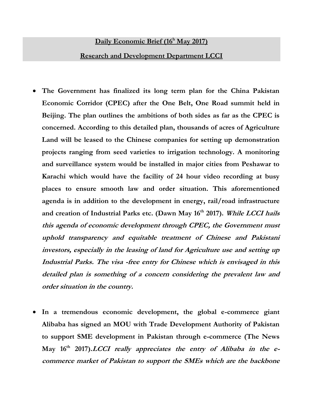## **Daily Economic Brief (16 <sup>h</sup> May 2017)**

- **Research and Development Department LCCI**
- **The Government has finalized its long term plan for the China Pakistan Economic Corridor (CPEC) after the One Belt, One Road summit held in Beijing. The plan outlines the ambitions of both sides as far as the CPEC is concerned. According to this detailed plan, thousands of acres of Agriculture Land will be leased to the Chinese companies for setting up demonstration projects ranging from seed varieties to irrigation technology. A monitoring and surveillance system would be installed in major cities from Peshawar to Karachi which would have the facility of 24 hour video recording at busy places to ensure smooth law and order situation. This aforementioned agenda is in addition to the development in energy, rail/road infrastructure and creation of Industrial Parks etc. (Dawn May 16th 2017). While LCCI hails this agenda of economic development through CPEC, the Government must uphold transparency and equitable treatment of Chinese and Pakistani investors, especially in the leasing of land for Agriculture use and setting up Industrial Parks. The visa -free entry for Chinese which is envisaged in this detailed plan is something of a concern considering the prevalent law and order situation in the country.**
- **In a tremendous economic development, the global e-commerce giant Alibaba has signed an MOU with Trade Development Authority of Pakistan to support SME development in Pakistan through e-commerce (The News May 16th 2017).LCCI really appreciates the entry of Alibaba in the ecommerce market of Pakistan to support the SMEs which are the backbone**